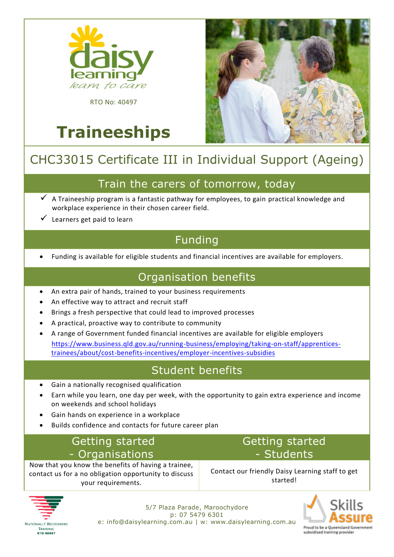

**Traineeships**

RTO No: 40497

# CHC33015 Certificate III in Individual Support (Ageing)

#### Train the carers of tomorrow, today

- $\checkmark$  A Traineeship program is a fantastic pathway for employees, to gain practical knowledge and workplace experience in their chosen career field.
- ✓ Learners get paid to learn

## Funding

• Funding is available for eligible students and financial incentives are available for employers.

#### Organisation benefits

- An extra pair of hands, trained to your business requirements
- An effective way to attract and recruit staff
- Brings a fresh perspective that could lead to improved processes
- A practical, proactive way to contribute to community
- A range of Government funded financial incentives are available for eligible employers [https://www.business.qld.gov.au/running-business/employing/taking-on-staff/apprentices](https://www.business.qld.gov.au/running-business/employing/taking-on-staff/apprentices-trainees/about/cost-benefits-incentives/employer-incentives-subsidies)[trainees/about/cost-benefits-incentives/employer-incentives-subsidies](https://www.business.qld.gov.au/running-business/employing/taking-on-staff/apprentices-trainees/about/cost-benefits-incentives/employer-incentives-subsidies)

#### Student benefits

- Gain a nationally recognised qualification
- Earn while you learn, one day per week, with the opportunity to gain extra experience and income on weekends and school holidays
- Gain hands on experience in a workplace
- Builds confidence and contacts for future career plan

### Getting started - Organisations

Now that you know the benefits of having a trainee, contact us for a no obligation opportunity to discuss your requirements.

Getting started - Students

Contact our friendly Daisy Learning staff to get started!



5/7 Plaza Parade, Maroochydore p: 07 5479 6301 e: info@daisylearning.com.au | w: [www.daisylearning.com.au](http://www.daisylearning.com.au/)